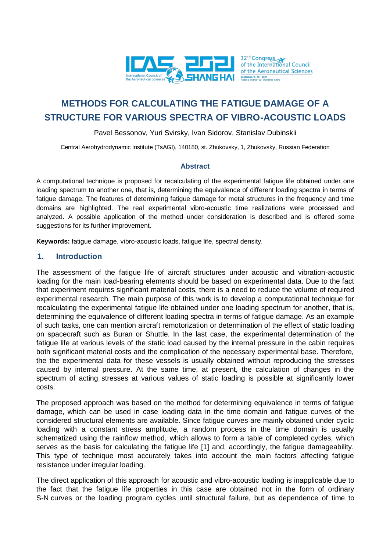

# **METHODS FOR CALCULATING THE FATIGUE DAMAGE OF A STRUCTURE FOR VARIOUS SPECTRA OF VIBRO-ACOUSTIC LOADS**

### Pavel Bessonov, Yuri Svirsky, Ivan Sidorov, Stanislav Dubinskii

Central Aerohydrodynamic Institute (TsAGI), 140180, st. Zhukovsky, 1, Zhukovsky, Russian Federation

#### **Abstract**

A computational technique is proposed for recalculating of the experimental fatigue life obtained under one loading spectrum to another one, that is, determining the equivalence of different loading spectra in terms of fatigue damage. The features of determining fatigue damage for metal structures in the frequency and time domains are highlighted. The real experimental vibro-acoustic time realizations were processed and analyzed. A possible application of the method under consideration is described and is offered some suggestions for its further improvement.

**Keywords:** fatigue damage, vibro-acoustic loads, fatigue life, spectral density.

#### **1. Introduction**

The assessment of the fatigue life of aircraft structures under acoustic and vibration-acoustic loading for the main load-bearing elements should be based on experimental data. Due to the fact that experiment requires significant material costs, there is a need to reduce the volume of required experimental research. The main purpose of this work is to develop a computational technique for recalculating the experimental fatigue life obtained under one loading spectrum for another, that is, determining the equivalence of different loading spectra in terms of fatigue damage. As an example of such tasks, one can mention aircraft remotorization or determination of the effect of static loading on spacecraft such as Buran or Shuttle. In the last case, the experimental determination of the fatigue life at various levels of the static load caused by the internal pressure in the cabin requires both significant material costs and the complication of the necessary experimental base. Therefore, the the experimental data for these vessels is usually obtained without reproducing the stresses caused by internal pressure. At the same time, at present, the calculation of changes in the spectrum of acting stresses at various values of static loading is possible at significantly lower costs.

The proposed approach was based on the method for determining equivalence in terms of fatigue damage, which can be used in case loading data in the time domain and fatigue curves of the considered structural elements are available. Since fatigue curves are mainly obtained under cyclic loading with a constant stress amplitude, a random process in the time domain is usually schematized using the rainflow method, which allows to form a table of completed cycles, which serves as the basis for calculating the fatigue life [1] and, accordingly, the fatigue damageability. This type of technique most accurately takes into account the main factors affecting fatigue resistance under irregular loading.

The direct application of this approach for acoustic and vibro-acoustic loading is inapplicable due to the fact that the fatigue life properties in this case are obtained not in the form of ordinary S-N curves or the loading program cycles until structural failure, but as dependence of time to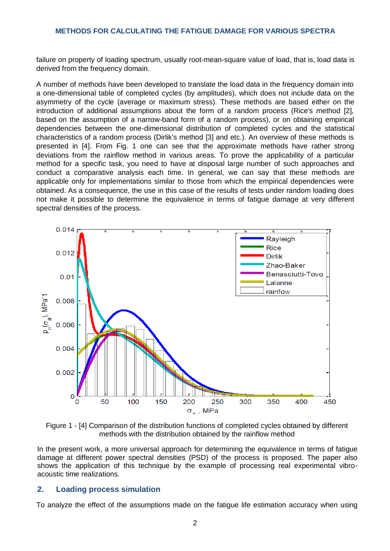failure on property of loading spectrum, usually root-mean-square value of load, that is, load data is derived from the frequency domain.

A number of methods have been developed to translate the load data in the frequency domain into a one-dimensional table of completed cycles (by amplitudes), which does not include data on the asymmetry of the cycle (average or maximum stress). These methods are based either on the introduction of additional assumptions about the form of a random process (Rice's method [2], based on the assumption of a narrow-band form of a random process), or on obtaining empirical dependencies between the one-dimensional distribution of completed cycles and the statistical characteristics of a random process (Dirlik's method [3] and etc.). An overview of these methods is presented in [4]. From Fig. 1 one can see that the approximate methods have rather strong deviations from the rainflow method in various areas. To prove the applicability of a particular method for a specific task, you need to have at disposal large number of such approaches and conduct a comparative analysis each time. In general, we can say that these methods are applicable only for implementations similar to those from which the empirical dependencies were obtained. As a consequence, the use in this case of the results of tests under random loading does not make it possible to determine the equivalence in terms of fatigue damage at very different spectral densities of the process.





In the present work, a more universal approach for determining the equivalence in terms of fatigue damage at different power spectral densities (PSD) of the process is proposed. The paper also shows the application of this technique by the example of processing real experimental vibroacoustic time realizations.

## **2. Loading process simulation**

To analyze the effect of the assumptions made on the fatigue life estimation accuracy when using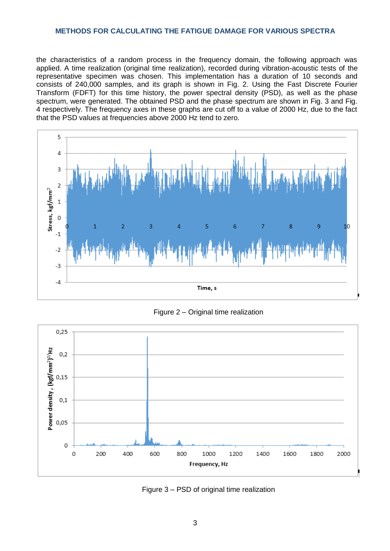the characteristics of a random process in the frequency domain, the following approach was applied. A time realization (original time realization), recorded during vibration-acoustic tests of the representative specimen was chosen. This implementation has a duration of 10 seconds and consists of 240,000 samples, and its graph is shown in Fig. 2. Using the Fast Discrete Fourier Transform (FDFT) for this time history, the power spectral density (PSD), as well as the phase spectrum, were generated. The obtained PSD and the phase spectrum are shown in Fig. 3 and Fig. 4 respectively. The frequency axes in these graphs are cut off to a value of 2000 Hz, due to the fact that the PSD values at frequencies above 2000 Hz tend to zero.



Figure 2 – Original time realization



Figure 3 – PSD of original time realization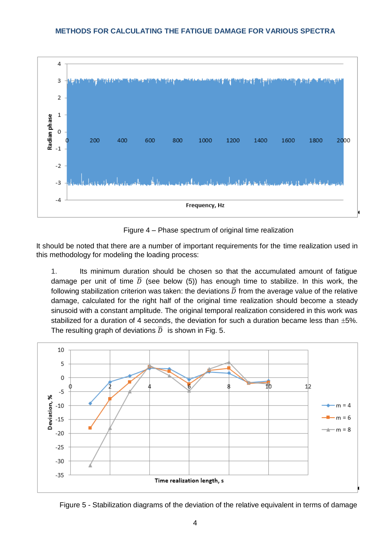

Figure 4 – Phase spectrum of original time realization

It should be noted that there are a number of important requirements for the time realization used in this methodology for modeling the loading process:

1. Its minimum duration should be chosen so that the accumulated amount of fatigue damage per unit of time  $\overline{D}$  (see below (5)) has enough time to stabilize. In this work, the following stabilization criterion was taken: the deviations  $\overline{D}$  from the average value of the relative damage, calculated for the right half of the original time realization should become a steady sinusoid with a constant amplitude. The original temporal realization considered in this work was stabilized for a duration of 4 seconds, the deviation for such a duration became less than  $\pm 5\%$ . The resulting graph of deviations  $\overline{D}$  is shown in Fig. 5.



Figure 5 - Stabilization diagrams of the deviation of the relative equivalent in terms of damage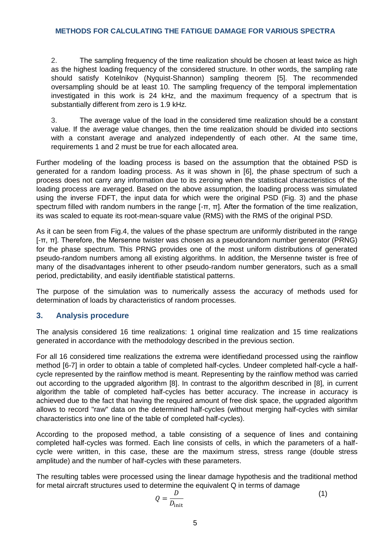2. The sampling frequency of the time realization should be chosen at least twice as high as the highest loading frequency of the considered structure. In other words, the sampling rate should satisfy Kotelnikov (Nyquist-Shannon) sampling theorem [5]. The recommended oversampling should be at least 10. The sampling frequency of the temporal implementation investigated in this work is 24 kHz, and the maximum frequency of a spectrum that is substantially different from zero is 1.9 kHz.

3. The average value of the load in the considered time realization should be a constant value. If the average value changes, then the time realization should be divided into sections with a constant average and analyzed independently of each other. At the same time, requirements 1 and 2 must be true for each allocated area.

Further modeling of the loading process is based on the assumption that the obtained PSD is generated for a random loading process. As it was shown in [6], the phase spectrum of such a process does not carry any information due to its zeroing when the statistical characteristics of the loading process are averaged. Based on the above assumption, the loading process was simulated using the inverse FDFT, the input data for which were the original PSD (Fig. 3) and the phase spectrum filled with random numbers in the range [-π, π]. After the formation of the time realization, its was scaled to equate its root-mean-square value (RMS) with the RMS of the original PSD.

As it can be seen from Fig.4, the values of the phase spectrum are uniformly distributed in the range [ $-T$ ,  $\pi$ ]. Therefore, the Mersenne twister was chosen as a pseudorandom number generator (PRNG) for the phase spectrum. This PRNG provides one of the most uniform distributions of generated pseudo-random numbers among all existing algorithms. In addition, the Mersenne twister is free of many of the disadvantages inherent to other pseudo-random number generators, such as a small period, predictability, and easily identifiable statistical patterns.

The purpose of the simulation was to numerically assess the accuracy of methods used for determination of loads by characteristics of random processes.

# **3. Analysis procedure**

The analysis considered 16 time realizations: 1 original time realization and 15 time realizations generated in accordance with the methodology described in the previous section.

For all 16 considered time realizations the extrema were identifiedand processed using the rainflow method [6-7] in order to obtain a table of completed half-cycles. Undeer completed half-cycle a halfcycle represented by the rainflow method is meant. Representing by the rainflow method was carried out according to the upgraded algorithm [8]. In contrast to the algorithm described in [8], in current algorithm the table of completed half-cycles has better accuracy. The increase in accuracy is achieved due to the fact that having the required amount of free disk space, the upgraded algorithm allows to record "raw" data on the determined half-cycles (without merging half-cycles with similar characteristics into one line of the table of completed half-cycles).

According to the proposed method, a table consisting of a sequence of lines and containing completed half-cycles was formed. Each line consists of cells, in which the parameters of a halfcycle were written, in this case, these are the maximum stress, stress range (double stress amplitude) and the number of half-cycles with these parameters.

The resulting tables were processed using the linear damage hypothesis and the traditional method for metal aircraft structures used to determine the equivalent Q in terms of damage

$$
Q = \frac{D}{D_{\text{init}}} \tag{1}
$$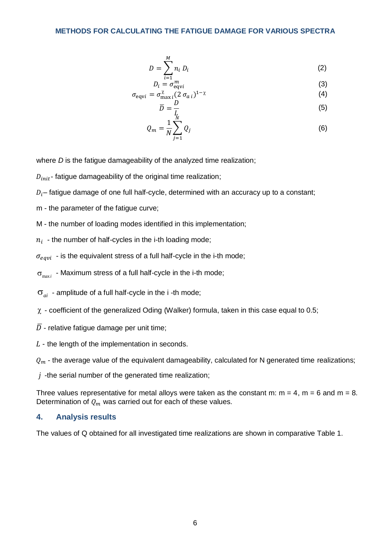$$
D = \sum_{i=1}^{M} n_i D_i \tag{2}
$$

$$
D_i = \sigma_{\text{equ}}^m \tag{3}
$$

$$
\sigma_{\text{equiv}} = \sigma_{\text{max }i}^{\chi} (2 \sigma_{a i})^{1-\chi} \tag{4}
$$

$$
\overline{D} = \frac{D}{L}
$$
 (5)

$$
Q_m = \frac{1}{N} \sum_{j=1}^{N} Q_j
$$
\n
$$
(6)
$$

where *D* is the fatigue damageability of the analyzed time realization;

 $D_{init}$ - fatigue damageability of the original time realization;

 $D_i$ – fatigue damage of one full half-cycle, determined with an accuracy up to a constant;

m - the parameter of the fatigue curve;

M - the number of loading modes identified in this implementation;

 $n_i\;$  - the number of half-cycles in the i-th loading mode;

 $\sigma_{eavi}$  - is the equivalent stress of a full half-cycle in the i-th mode;

 $\sigma_{\text{max}i}$  - Maximum stress of a full half-cycle in the i-th mode;

 $\sigma_{ai}$  - amplitude of a full half-cycle in the i -th mode;

- $\chi$  coefficient of the generalized Oding (Walker) formula, taken in this case equal to 0.5;
- $\overline{D}$  relative fatigue damage per unit time;

 $L$  - the length of the implementation in seconds.

 $Q_m$  - the average value of the equivalent damageability, calculated for N generated time realizations;

*j* -the serial number of the generated time realization;

Three values representative for metal alloys were taken as the constant m:  $m = 4$ ,  $m = 6$  and  $m = 8$ . Determination of  $Q_m$  was carried out for each of these values.

## **4. Analysis results**

The values of Q obtained for all investigated time realizations are shown in comparative Table 1.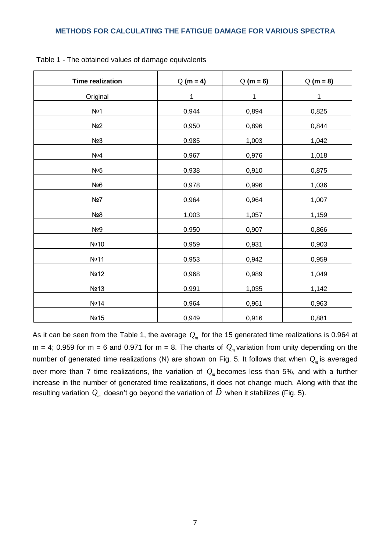| <b>Time realization</b> | $Q(m = 4)$ | $Q(m = 6)$ | $Q(m = 8)$ |
|-------------------------|------------|------------|------------|
| Original                | 1          | 1          | 1          |
| No1                     | 0,944      | 0,894      | 0,825      |
| No <sub>2</sub>         | 0,950      | 0,896      | 0,844      |
| N <sub>23</sub>         | 0,985      | 1,003      | 1,042      |
| Nº4                     | 0,967      | 0,976      | 1,018      |
| Nº5                     | 0,938      | 0,910      | 0,875      |
| No <sub>6</sub>         | 0,978      | 0,996      | 1,036      |
| Nº7                     | 0,964      | 0,964      | 1,007      |
| Nº8                     | 1,003      | 1,057      | 1,159      |
| Nº9                     | 0,950      | 0,907      | 0,866      |
| Nº10                    | 0,959      | 0,931      | 0,903      |
| No 11                   | 0,953      | 0,942      | 0,959      |
| Nº <sub>12</sub>        | 0,968      | 0,989      | 1,049      |
| Nº13                    | 0,991      | 1,035      | 1,142      |
| Nº14                    | 0,964      | 0,961      | 0,963      |
| Nº <sub>15</sub>        | 0,949      | 0,916      | 0,881      |

Table 1 - The obtained values of damage equivalents

As it can be seen from the Table 1, the average  $\mathcal{Q}_m$  for the 15 generated time realizations is 0.964 at  $m = 4$ ; 0.959 for  $m = 6$  and 0.971 for  $m = 8$ . The charts of  $Q_m$  variation from unity depending on the number of generated time realizations (N) are shown on Fig. 5. It follows that when  $Q_m$  is averaged over more than 7 time realizations, the variation of  $Q_m$  becomes less than 5%, and with a further increase in the number of generated time realizations, it does not change much. Along with that the resulting variation  $\mathcal{Q}_m$  doesn't go beyond the variation of  $\,\overline{\!D}\,$  when it stabilizes (Fig. 5).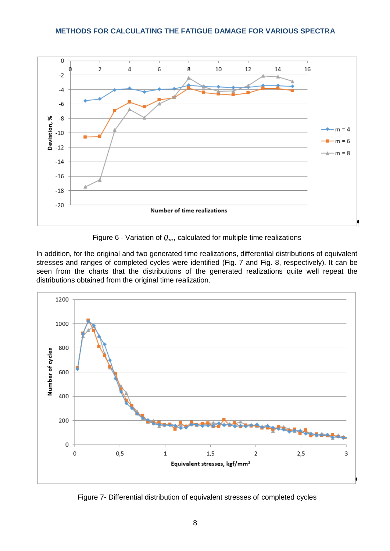

Figure 6 - Variation of  $Q_m$ , calculated for multiple time realizations

In addition, for the original and two generated time realizations, differential distributions of equivalent stresses and ranges of completed cycles were identified (Fig. 7 and Fig. 8, respectively). It can be seen from the charts that the distributions of the generated realizations quite well repeat the distributions obtained from the original time realization.



Figure 7- Differential distribution of equivalent stresses of completed cycles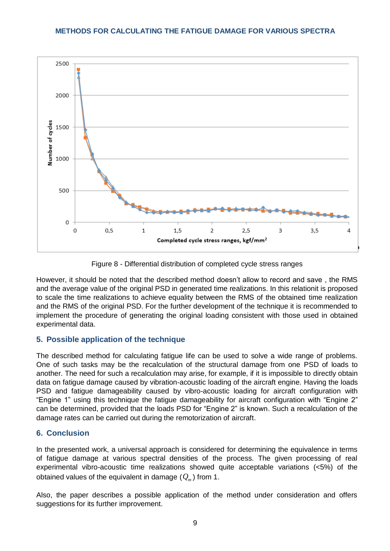

Figure 8 - Differential distribution of completed cycle stress ranges

However, it should be noted that the described method doesn't allow to record and save , the RMS and the average value of the original PSD in generated time realizations. In this relationit is proposed to scale the time realizations to achieve equality between the RMS of the obtained time realization and the RMS of the original PSD. For the further development of the technique it is recommended to implement the procedure of generating the original loading consistent with those used in obtained experimental data.

# **5. Possible application of the technique**

The described method for calculating fatigue life can be used to solve a wide range of problems. One of such tasks may be the recalculation of the structural damage from one PSD of loads to another. The need for such a recalculation may arise, for example, if it is impossible to directly obtain data on fatigue damage caused by vibration-acoustic loading of the aircraft engine. Having the loads PSD and fatigue damageability caused by vibro-acoustic loading for aircraft configuration with "Engine 1" using this technique the fatigue damageability for aircraft configuration with "Engine 2" can be determined, provided that the loads PSD for "Engine 2" is known. Such a recalculation of the damage rates can be carried out during the remotorization of aircraft.

# **6. Conclusion**

In the presented work, a universal approach is considered for determining the equivalence in terms of fatigue damage at various spectral densities of the process. The given processing of real experimental vibro-acoustic time realizations showed quite acceptable variations (<5%) of the obtained values of the equivalent in damage ( *Qm* ) from 1.

Also, the paper describes a possible application of the method under consideration and offers suggestions for its further improvement.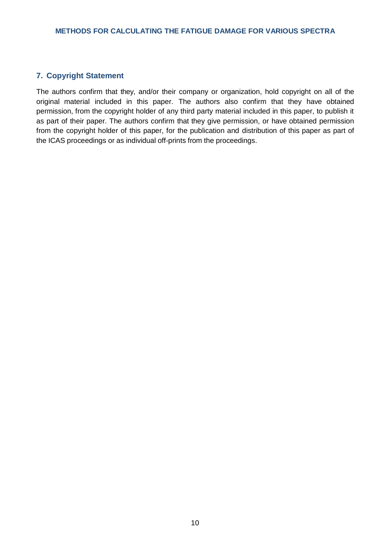# **7. Copyright Statement**

The authors confirm that they, and/or their company or organization, hold copyright on all of the original material included in this paper. The authors also confirm that they have obtained permission, from the copyright holder of any third party material included in this paper, to publish it as part of their paper. The authors confirm that they give permission, or have obtained permission from the copyright holder of this paper, for the publication and distribution of this paper as part of the ICAS proceedings or as individual off-prints from the proceedings.